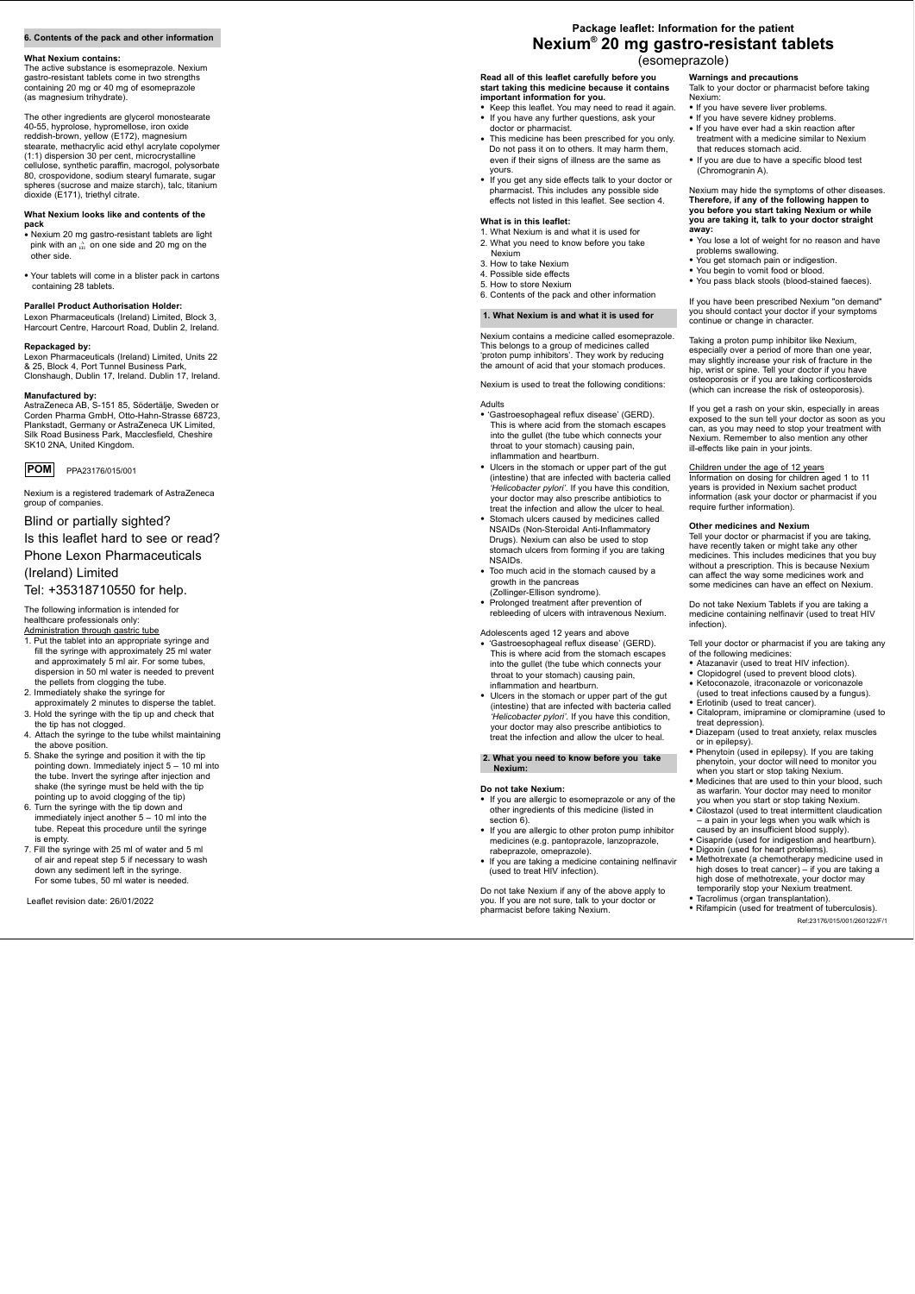**Read all of this leaflet carefully before you start taking this medicine because it contains important information for you.** 

- Keep this leaflet. You may need to read it again.<br>• If you have any further questions, ask your<br>doctor or pharmacist.
- This medicine has been prescribed for you only.
- Do not pass it on to others. It may harm them, even if their signs of illness are the same as yours. • If you get any side effects talk to your doctor or
- pharmacist. This includes any possible side effects not listed in this leaflet. See section 4.

#### **What is in this leaflet:**

- 1. What Nexium is and what it is used for
- 2. What you need to know before you take Nexium
- 3. How to take Nexium
- 4. Possible side effects
- 5. How to store Nexium
- 6. Contents of the pack and other information

# **1. What Nexium is and what it is used for**

Nexium contains a medicine called esomeprazole. This belongs to a group of medicines called 'proton pump inhibitors'. They work by reducing the amount of acid that your stomach produces.

Nexium is used to treat the following conditions:

- Adolescents aged 12 years and above<br>• 'Gastroesophageal reflux disease' (GERD). This is where acid from the stomach escapes into the gullet (the tube which connects your throat to your stomach) causing pain,
- inflammation and heartburn. Ulcers in the stomach or upper part of the gut (intestine) that are infected with bacteria called *'Helicobacter pylori'.* If you have this condition, your doctor may also prescribe antibiotics to treat the infection and allow the ulcer to heal.
- Adults 'Gastroesophageal reflux disease' (GERD). This is where acid from the stomach escapes into the gullet (the tube which connects your throat to your stomach) causing pain, inflammation and heartburn.
- Ulcers in the stomach or upper part of the gut (intestine) that are infected with bacteria called *'Helicobacter pylori'*. If you have this condition, your doctor may also prescribe antibiotics to<br>treat the infection and allow the ulcer to heal.
- Stomach ulcers caused by medicines called NSAIDs (Non-Steroidal Anti-Inflammatory Drugs). Nexium can also be used to stop stomach ulcers from forming if you are taking NSAIDs. • Too much acid in the stomach caused by a
- growth in the pancreas<br>(Zollinger-Ellison syndrome).
- Prolonged treatment after prevention of rebleeding of ulcers with intravenous Nexium.

#### **2. What you need to know before you take Nexium:**

#### **Do not take Nexium:**

- If you are allergic to esomeprazole or any of the other ingredients of this medicine (listed in section 6).<br>• If you are allergic to other proton pump inhibitor
- medicines (e.g. pantoprazole, lanzoprazole, rabeprazole, omeprazole).
- If you are taking a medicine containing nelfinavir (used to treat HIV infection).

Do not take Nexium if any of the above apply to you. If you are not sure, talk to your doctor or pharmacist before taking Nexium.

#### **6. Contents of the pack and other information**

#### **What Nexium contains:**

The active substance is esomeprazole. Nexium gastro-resistant tablets come in two strengths containing 20 mg or 40 mg of esomeprazole (as magnesium trihydrate).

The other ingredients are glycerol monostearate 40-55, hyprolose, hypromellose, iron oxide reddish-brown, yellow (E172), magnesium stearate, methacrylic acid ethyl acrylate copolymer (1:1) dispersion 30 per cent, microcrystalline cellulose, synthetic paraffin, macrogol, polysorbate 80, crospovidone, sodium stearyl fumarate, sugar spheres (sucrose and maize starch), talc, titanium dioxide (E171), triethyl citrate.

#### **What Nexium looks like and contents of the pack**

- Nexium 20 mg gastro-resistant tablets are light pink with an  $^{\Lambda}_{EH}$  on one side and 20 mg on the other side. • Your tablets will come in a blister pack in cartons
- containing 28 tablets.

#### **Parallel Product Authorisation Holder:**

Lexon Pharmaceuticals (Ireland) Limited, Block 3, Harcourt Centre, Harcourt Road, Dublin 2, Ireland.

#### **Repackaged by:**

Lexon Pharmaceuticals (Ireland) Limited, Units 22 & 25, Block 4, Port Tunnel Business Park, Clonshaugh, Dublin 17, Ireland. Dublin 17, Ireland.

# **Manufactured by:**

AstraZeneca AB, S-151 85, Södertälje, Sweden or Corden Pharma GmbH, Otto-Hahn-Strasse 68723, Plankstadt, Germany or AstraZeneca UK Limited, Silk Road Business Park, Macclesfield, Cheshire SK10 2NA, United Kingdom.



Nexium is a registered trademark of AstraZeneca group of companies.

# Blind or partially sighted?

Is this leaflet hard to see or read?

# Phone Lexon Pharmaceuticals

(Ireland) Limited

- 
- 
- 
- of the following medicines:<br>
 Atazanavir (used to treat HIV infection).<br>
 Clopidogrel (used to prevent blood clots).<br>
 Ketoconazole, itraconazole or voriconazole<br>
(used to treat infections caused by a fungus).
- 
- Erlotinib (used to treat cancer).<br>• Citalopram, imipramine or clomipramine (used to treat depression).
- Diazepam (used to treat anxiety, relax muscles
- Phenytoin (used in epilepsy). If you are taking phenytoin, your doctor will need to monitor you
- when you start or stop taking Nexium.<br>• Medicines that are used to thin your blood, such as warfarin. Your doctor may need to monitor you when you start or stop taking Nexium.
- Cilostazol (used to treat intermittent claudication – a pain in your legs when you walk which is
- caused by an insufficient blood supply). Cisapride (used for indigestion and heartburn). Digoxin (used for heart problems). Methotrexate (a chemotherapy medicine used in
- 
- high doses to treat cancer) if you are taking a high dose of methotrexate, your doctor may<br>temporarily stop your Nexium treatment.
- Tacrolimus (organ transplantation).<br>• Rifampicin (used for treatment of tuberculosis).
	- Ref:23176/015/001/260122/F/1

# Tel: +35318710550 for help.

The following information is intended for healthcare professionals only: Administration through gastric tube

- 1. Put the tablet into an appropriate syringe and fill the syringe with approximately 25 ml water and approximately 5 ml air. For some tubes, dispersion in 50 ml water is needed to prevent
- the pellets from clogging the tube. 2. Immediately shake the syringe for
- approximately 2 minutes to disperse the tablet. 3. Hold the syringe with the tip up and check that the tip has not clogged.
- 4. Attach the syringe to the tube whilst maintaining the above position.
- 5. Shake the syringe and position it with the tip pointing down. Immediately inject 5 – 10 ml into the tube. Invert the syringe after injection and shake (the syringe must be held with the tip pointing up to avoid clogging of the tip)
- 6. Turn the syringe with the tip down and immediately inject another 5 – 10 ml into the tube. Repeat this procedure until the syringe is empty.
- 7. Fill the syringe with 25 ml of water and 5 ml of air and repeat step 5 if necessary to wash down any sediment left in the syringe. For some tubes, 50 ml water is needed.

Leaflet revision date: 26/01/2022

**Warnings and precautions** Talk to your doctor or pharmacist before taking

- 
- 
- Nexium: If you have severe liver problems. If you have severe kidney problems. If you have ever had a skin reaction after treatment with a medicine similar to Nexium that reduces stomach acid.
- If you are due to have a specific blood test (Chromogranin A).

Nexium may hide the symptoms of other diseases. **Therefore, if any of the following happen to you before you start taking Nexium or while you are taking it, talk to your doctor straight away:**

- You lose a lot of weight for no reason and have
- 
- 
- problems swallowing. You get stomach pain or indigestion. You begin to vomit food or blood. You pass black stools (blood-stained faeces).

If you have been prescribed Nexium "on demand" you should contact your doctor if your symptoms continue or change in character.

Taking a proton pump inhibitor like Nexium, especially over a period of more than one year, may slightly increase your risk of fracture in the hip, wrist or spine. Tell your doctor if you have osteoporosis or if you are taking corticosteroids (which can increase the risk of osteoporosis).

If you get a rash on your skin, especially in areas exposed to the sun tell your doctor as soon as you can, as you may need to stop your treatment with Nexium. Remember to also mention any other ill-effects like pain in your joints.

#### Children under the age of 12 years

Information on dosing for children aged 1 to 11 years is provided in Nexium sachet product information (ask your doctor or pharmacist if you require further information).

#### **Other medicines and Nexium**

Tell your doctor or pharmacist if you are taking, have recently taken or might take any other medicines. This includes medicines that you buy without a prescription. This is because Nexium can affect the way some medicines work and some medicines can have an effect on Nexium.

Do not take Nexium Tablets if you are taking a medicine containing nelfinavir (used to treat HIV infection).

Tell your doctor or pharmacist if you are taking any

# **Package leaflet: Information for the patient Nexium 20 mg gastro-resistant tablets ®**

# (esomeprazole)